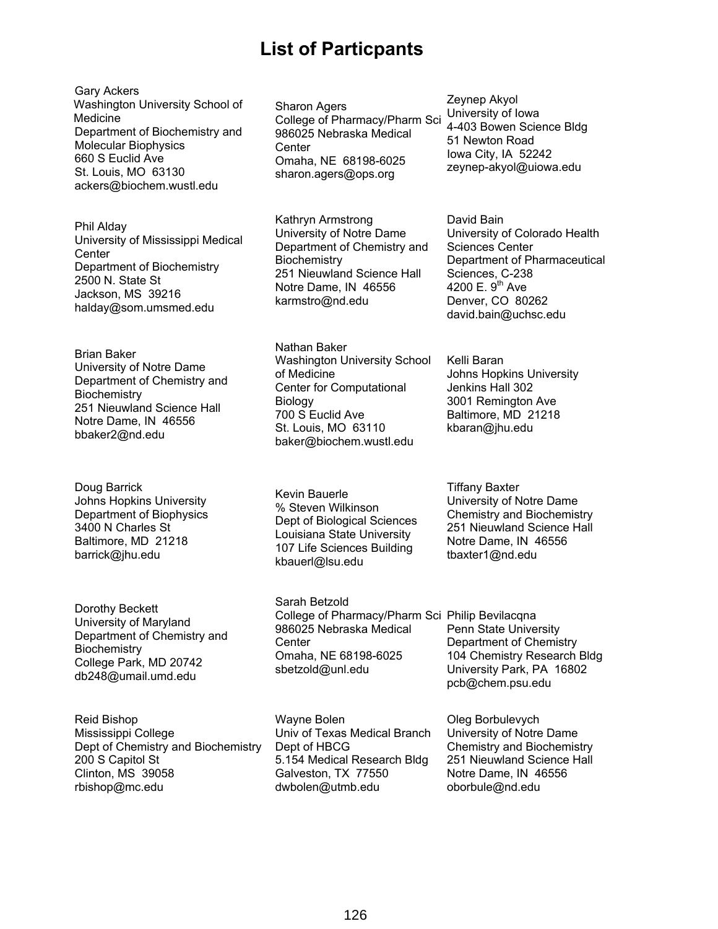# **List of Particpants**

Gary Ackers Washington University School of Medicine Department of Biochemistry and Molecular Biophysics 660 S Euclid Ave St. Louis, MO 63130 ackers@biochem.wustl.edu

Phil Alday University of Mississippi Medical **Center** Department of Biochemistry 2500 N. State St Jackson, MS 39216 halday@som.umsmed.edu

Brian Baker University of Notre Dame Department of Chemistry and **Biochemistry** 251 Nieuwland Science Hall Notre Dame, IN 46556 bbaker2@nd.edu

Doug Barrick Johns Hopkins University Department of Biophysics 3400 N Charles St Baltimore, MD 21218 barrick@jhu.edu

Dorothy Beckett University of Maryland Department of Chemistry and **Biochemistry** College Park, MD 20742 db248@umail.umd.edu

Reid Bishop Mississippi College Dept of Chemistry and Biochemistry 200 S Capitol St Clinton, MS 39058 rbishop@mc.edu

Sharon Agers College of Pharmacy/Pharm Sci 986025 Nebraska Medical Center Omaha, NE 68198-6025 sharon.agers@ops.org

Kathryn Armstrong University of Notre Dame Department of Chemistry and **Biochemistry** 251 Nieuwland Science Hall Notre Dame, IN 46556 karmstro@nd.edu

Nathan Baker Washington University School of Medicine Center for Computational Biology 700 S Euclid Ave St. Louis, MO 63110 baker@biochem.wustl.edu

Kevin Bauerle % Steven Wilkinson Dept of Biological Sciences Louisiana State University 107 Life Sciences Building kbauerl@lsu.edu

Sarah Betzold College of Pharmacy/Pharm Sci Philip Bevilacqna 986025 Nebraska Medical **Center** Omaha, NE 68198-6025 sbetzold@unl.edu

Wayne Bolen Univ of Texas Medical Branch Dept of HBCG 5.154 Medical Research Bldg Galveston, TX 77550 dwbolen@utmb.edu

Zeynep Akyol University of Iowa 4-403 Bowen Science Bldg 51 Newton Road Iowa City, IA 52242 zeynep-akyol@uiowa.edu

David Bain University of Colorado Health Sciences Center Department of Pharmaceutical Sciences, C-238 4200 E.  $9^{th}$  Ave Denver, CO 80262 david.bain@uchsc.edu

Kelli Baran Johns Hopkins University Jenkins Hall 302 3001 Remington Ave Baltimore, MD 21218 kbaran@jhu.edu

Tiffany Baxter University of Notre Dame Chemistry and Biochemistry 251 Nieuwland Science Hall Notre Dame, IN 46556 tbaxter1@nd.edu

Penn State University Department of Chemistry 104 Chemistry Research Bldg University Park, PA 16802 pcb@chem.psu.edu

Oleg Borbulevych University of Notre Dame Chemistry and Biochemistry 251 Nieuwland Science Hall Notre Dame, IN 46556 oborbule@nd.edu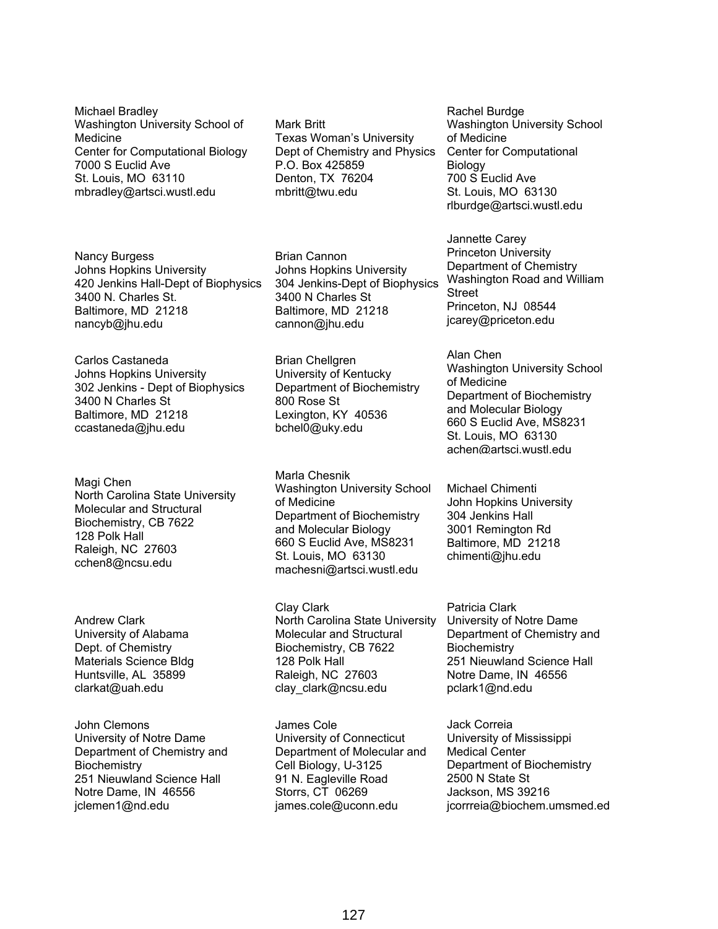Michael Bradley Washington University School of Medicine Center for Computational Biology 7000 S Euclid Ave St. Louis, MO 63110 mbradley@artsci.wustl.edu

Nancy Burgess Johns Hopkins University 420 Jenkins Hall-Dept of Biophysics 3400 N. Charles St. Baltimore, MD 21218 nancyb@jhu.edu

Carlos Castaneda Johns Hopkins University 302 Jenkins - Dept of Biophysics 3400 N Charles St Baltimore, MD 21218 ccastaneda@jhu.edu

Magi Chen North Carolina State University Molecular and Structural Biochemistry, CB 7622 128 Polk Hall Raleigh, NC 27603 cchen8@ncsu.edu

Andrew Clark University of Alabama Dept. of Chemistry Materials Science Bldg Huntsville, AL 35899 clarkat@uah.edu

John Clemons University of Notre Dame Department of Chemistry and **Biochemistry** 251 Nieuwland Science Hall Notre Dame, IN 46556 jclemen1@nd.edu

Mark Britt Texas Woman's University Dept of Chemistry and Physics P.O. Box 425859 Denton, TX 76204 mbritt@twu.edu

Brian Cannon Johns Hopkins University 304 Jenkins-Dept of Biophysics 3400 N Charles St Baltimore, MD 21218 cannon@jhu.edu

Brian Chellgren University of Kentucky Department of Biochemistry 800 Rose St Lexington, KY 40536 bchel0@uky.edu

Marla Chesnik Washington University School of Medicine Department of Biochemistry and Molecular Biology 660 S Euclid Ave, MS8231 St. Louis, MO 63130 machesni@artsci.wustl.edu

Clay Clark North Carolina State University Molecular and Structural Biochemistry, CB 7622 128 Polk Hall Raleigh, NC 27603 clay\_clark@ncsu.edu

James Cole University of Connecticut Department of Molecular and Cell Biology, U-3125 91 N. Eagleville Road Storrs, CT 06269 james.cole@uconn.edu

Rachel Burdge Washington University School of Medicine Center for Computational Biology 700 S Euclid Ave St. Louis, MO 63130 rlburdge@artsci.wustl.edu

Jannette Carey Princeton University Department of Chemistry Washington Road and William Street Princeton, NJ 08544 jcarey@priceton.edu

Alan Chen Washington University School of Medicine Department of Biochemistry and Molecular Biology 660 S Euclid Ave, MS8231 St. Louis, MO 63130 achen@artsci.wustl.edu

Michael Chimenti John Hopkins University 304 Jenkins Hall 3001 Remington Rd Baltimore, MD 21218 chimenti@jhu.edu

Patricia Clark University of Notre Dame Department of Chemistry and **Biochemistry** 251 Nieuwland Science Hall Notre Dame, IN 46556 pclark1@nd.edu

Jack Correia University of Mississippi Medical Center Department of Biochemistry 2500 N State St Jackson, MS 39216 jcorrreia@biochem.umsmed.ed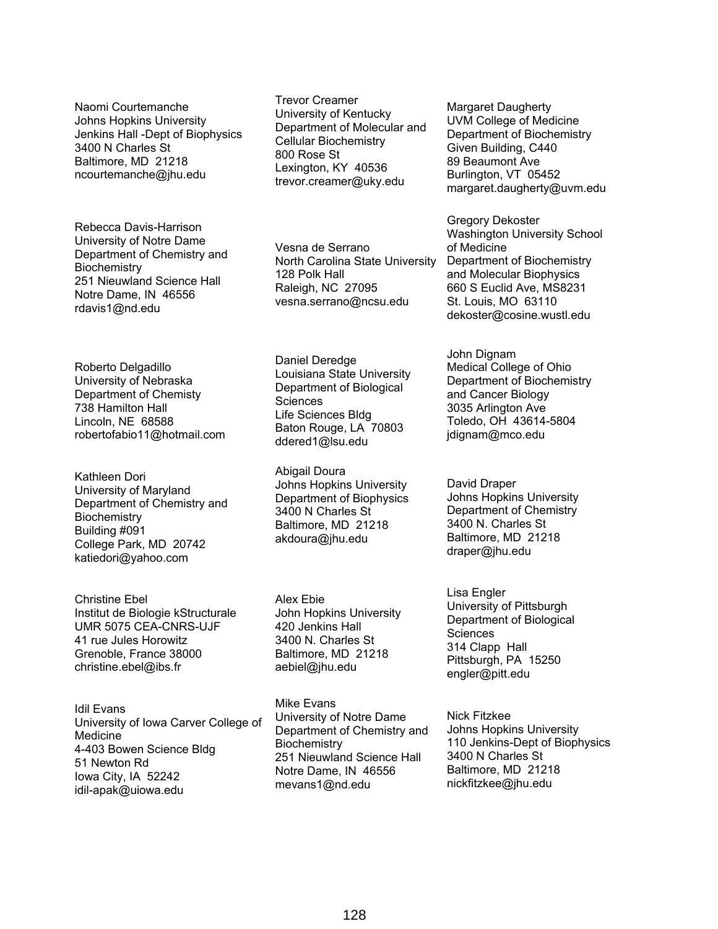Naomi Courtemanche Johns Hopkins University Jenkins Hall -Dept of Biophysics 3400 N Charles St Baltimore, MD 21218 ncourtemanche@jhu.edu

Rebecca Davis-Harrison University of Notre Dame Department of Chemistry and **Biochemistry** 251 Nieuwland Science Hall Notre Dame, IN 46556 rdavis1@nd.edu

Roberto Delgadillo University of Nebraska Department of Chemisty 738 Hamilton Hall Lincoln, NE 68588 robertofabio11@hotmail.com

Kathleen Dori University of Maryland Department of Chemistry and **Biochemistry** Building #091 College Park, MD 20742 katiedori@yahoo.com

Christine Ebel Institut de Biologie kStructurale UMR 5075 CEA-CNRS-UJF 41 rue Jules Horowitz Grenoble, France 38000 christine.ebel@ibs.fr

Idil Evans University of Iowa Carver College of Medicine 4-403 Bowen Science Bldg 51 Newton Rd Iowa City, IA 52242 idil-apak@uiowa.edu

Trevor Creamer University of Kentucky Department of Molecular and Cellular Biochemistry 800 Rose St Lexington, KY 40536 trevor.creamer@uky.edu

Vesna de Serrano North Carolina State University 128 Polk Hall Raleigh, NC 27095 vesna.serrano@ncsu.edu

Daniel Deredge Louisiana State University Department of Biological **Sciences** Life Sciences Bldg Baton Rouge, LA 70803 ddered1@lsu.edu

Abigail Doura Johns Hopkins University Department of Biophysics 3400 N Charles St Baltimore, MD 21218 akdoura@jhu.edu

Alex Ebie John Hopkins University 420 Jenkins Hall 3400 N. Charles St Baltimore, MD 21218 aebiel@jhu.edu

Mike Evans University of Notre Dame Department of Chemistry and **Biochemistry** 251 Nieuwland Science Hall Notre Dame, IN 46556 mevans1@nd.edu

Margaret Daugherty UVM College of Medicine Department of Biochemistry Given Building, C440 89 Beaumont Ave Burlington, VT 05452 margaret.daugherty@uvm.edu

Gregory Dekoster Washington University School of Medicine Department of Biochemistry and Molecular Biophysics 660 S Euclid Ave, MS8231 St. Louis, MO 63110 dekoster@cosine.wustl.edu

John Dignam Medical College of Ohio Department of Biochemistry and Cancer Biology 3035 Arlington Ave Toledo, OH 43614-5804 jdignam@mco.edu

David Draper Johns Hopkins University Department of Chemistry 3400 N. Charles St Baltimore, MD 21218 draper@jhu.edu

Lisa Engler University of Pittsburgh Department of Biological **Sciences** 314 Clapp Hall Pittsburgh, PA 15250 engler@pitt.edu

Nick Fitzkee Johns Hopkins University 110 Jenkins-Dept of Biophysics 3400 N Charles St Baltimore, MD 21218 nickfitzkee@jhu.edu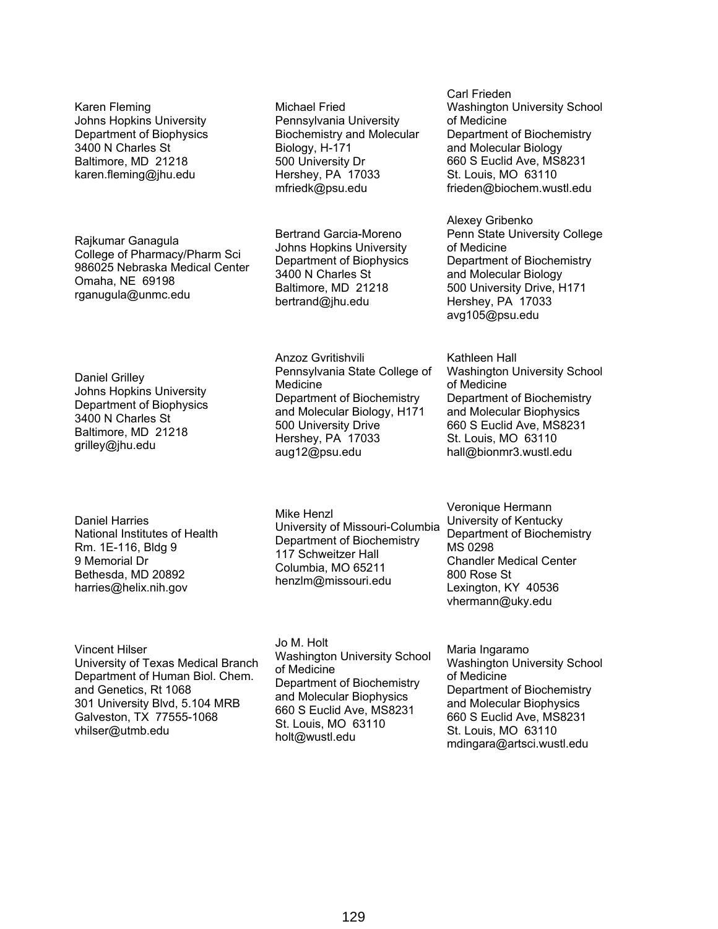Karen Fleming Johns Hopkins University Department of Biophysics 3400 N Charles St Baltimore, MD 21218 karen.fleming@jhu.edu

Rajkumar Ganagula College of Pharmacy/Pharm Sci 986025 Nebraska Medical Center Omaha, NE 69198 rganugula@unmc.edu

Michael Fried Pennsylvania University Biochemistry and Molecular Biology, H-171 500 University Dr Hershey, PA 17033 mfriedk@psu.edu

Bertrand Garcia-Moreno Johns Hopkins University Department of Biophysics 3400 N Charles St Baltimore, MD 21218 bertrand@jhu.edu

Anzoz Gvritishvili

Daniel Grilley Johns Hopkins University Department of Biophysics 3400 N Charles St Baltimore, MD 21218 grilley@jhu.edu

Daniel Harries National Institutes of Health Rm. 1E-116, Bldg 9 9 Memorial Dr Bethesda, MD 20892 harries@helix.nih.gov

Medicine Department of Biochemistry and Molecular Biology, H171 500 University Drive Hershey, PA 17033 aug12@psu.edu

Pennsylvania State College of

Mike Henzl University of Missouri-Columbia Department of Biochemistry 117 Schweitzer Hall Columbia, MO 65211 henzlm@missouri.edu

Vincent Hilser University of Texas Medical Branch Department of Human Biol. Chem. and Genetics, Rt 1068 301 University Blvd, 5.104 MRB Galveston, TX 77555-1068 vhilser@utmb.edu

Jo M. Holt Washington University School of Medicine Department of Biochemistry and Molecular Biophysics 660 S Euclid Ave, MS8231 St. Louis, MO 63110 holt@wustl.edu

Carl Frieden Washington University School of Medicine Department of Biochemistry and Molecular Biology 660 S Euclid Ave, MS8231 St. Louis, MO 63110 frieden@biochem.wustl.edu

Alexey Gribenko Penn State University College of Medicine Department of Biochemistry and Molecular Biology 500 University Drive, H171 Hershey, PA 17033 avg105@psu.edu

Kathleen Hall Washington University School of Medicine Department of Biochemistry and Molecular Biophysics 660 S Euclid Ave, MS8231 St. Louis, MO 63110 hall@bionmr3.wustl.edu

Veronique Hermann University of Kentucky Department of Biochemistry MS 0298 Chandler Medical Center 800 Rose St Lexington, KY 40536 vhermann@uky.edu

Maria Ingaramo Washington University School of Medicine Department of Biochemistry and Molecular Biophysics 660 S Euclid Ave, MS8231 St. Louis, MO 63110 mdingara@artsci.wustl.edu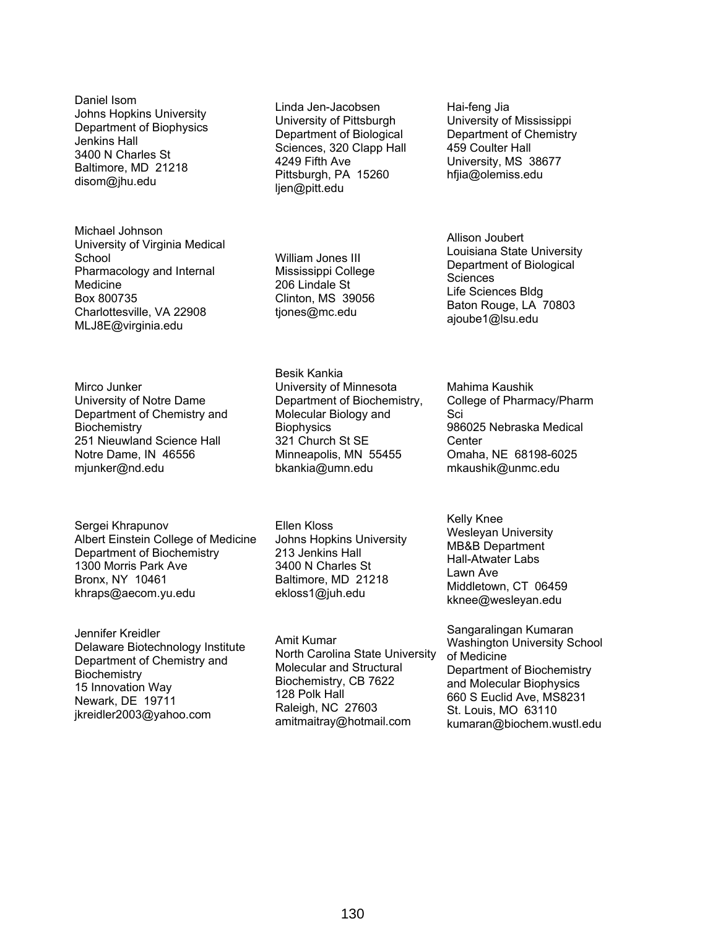Daniel Isom Johns Hopkins University Department of Biophysics Jenkins Hall 3400 N Charles St Baltimore, MD 21218 disom@jhu.edu

Michael Johnson University of Virginia Medical **School** Pharmacology and Internal Medicine Box 800735 Charlottesville, VA 22908 MLJ8E@virginia.edu

Mirco Junker University of Notre Dame Department of Chemistry and **Biochemistry** 251 Nieuwland Science Hall Notre Dame, IN 46556 mjunker@nd.edu

Sergei Khrapunov Albert Einstein College of Medicine Department of Biochemistry 1300 Morris Park Ave Bronx, NY 10461 khraps@aecom.yu.edu

Jennifer Kreidler Delaware Biotechnology Institute Department of Chemistry and **Biochemistry** 15 Innovation Way Newark, DE 19711 jkreidler2003@yahoo.com

Linda Jen-Jacobsen University of Pittsburgh Department of Biological Sciences, 320 Clapp Hall 4249 Fifth Ave Pittsburgh, PA 15260 ljen@pitt.edu

William Jones III Mississippi College 206 Lindale St Clinton, MS 39056 tjones@mc.edu

Besik Kankia University of Minnesota Department of Biochemistry, Molecular Biology and **Biophysics** 321 Church St SE Minneapolis, MN 55455 bkankia@umn.edu

Ellen Kloss Johns Hopkins University 213 Jenkins Hall 3400 N Charles St Baltimore, MD 21218 ekloss1@juh.edu

Amit Kumar North Carolina State University Molecular and Structural Biochemistry, CB 7622 128 Polk Hall Raleigh, NC 27603 amitmaitray@hotmail.com

Hai-feng Jia University of Mississippi Department of Chemistry 459 Coulter Hall University, MS 38677 hfjia@olemiss.edu

Allison Joubert Louisiana State University Department of Biological **Sciences** Life Sciences Bldg Baton Rouge, LA 70803 ajoube1@lsu.edu

Mahima Kaushik College of Pharmacy/Pharm Sci 986025 Nebraska Medical **Center** Omaha, NE 68198-6025 mkaushik@unmc.edu

Kelly Knee Wesleyan University MB&B Department Hall-Atwater Labs Lawn Ave Middletown, CT 06459 kknee@wesleyan.edu

Sangaralingan Kumaran Washington University School of Medicine Department of Biochemistry and Molecular Biophysics 660 S Euclid Ave, MS8231 St. Louis, MO 63110 kumaran@biochem.wustl.edu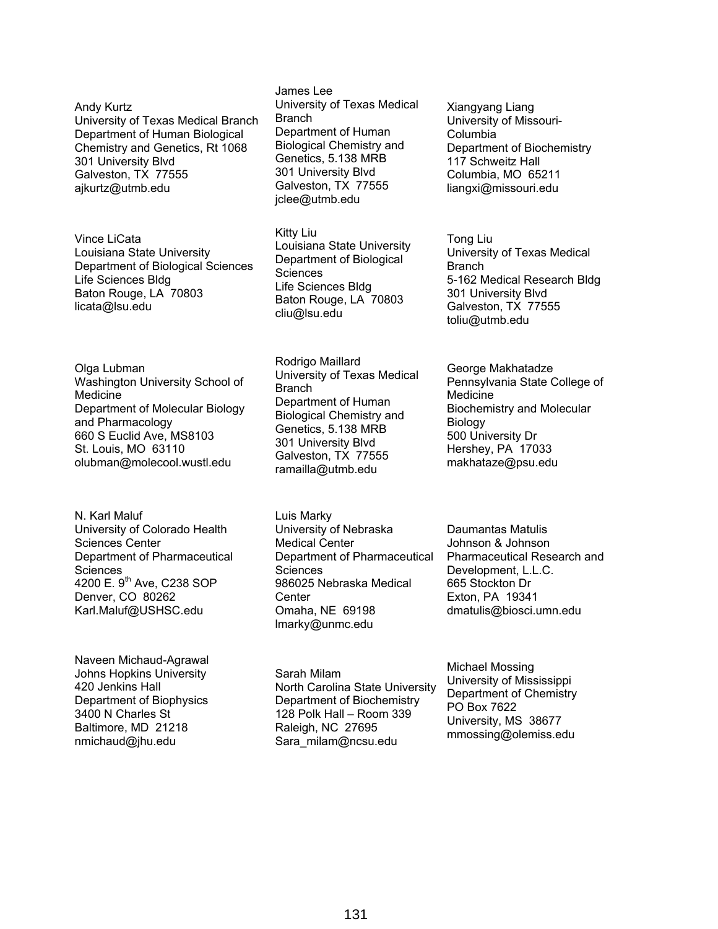Andy Kurtz University of Texas Medical Branch Department of Human Biological Chemistry and Genetics, Rt 1068 301 University Blvd Galveston, TX 77555 ajkurtz@utmb.edu

Vince LiCata Louisiana State University Department of Biological Sciences Life Sciences Bldg Baton Rouge, LA 70803 licata@lsu.edu

Olga Lubman Washington University School of Medicine Department of Molecular Biology and Pharmacology 660 S Euclid Ave, MS8103 St. Louis, MO 63110 olubman@molecool.wustl.edu

N. Karl Maluf University of Colorado Health Sciences Center Department of Pharmaceutical Sciences 4200 E. 9<sup>th</sup> Ave, C238 SOP Denver, CO 80262 Karl.Maluf@USHSC.edu

Naveen Michaud-Agrawal Johns Hopkins University 420 Jenkins Hall Department of Biophysics 3400 N Charles St Baltimore, MD 21218 nmichaud@jhu.edu

James Lee University of Texas Medical **Branch** Department of Human Biological Chemistry and Genetics, 5.138 MRB 301 University Blvd Galveston, TX 77555 jclee@utmb.edu

Kitty Liu Louisiana State University Department of Biological **Sciences** Life Sciences Bldg Baton Rouge, LA 70803 cliu@lsu.edu

Rodrigo Maillard University of Texas Medical **Branch** Department of Human Biological Chemistry and Genetics, 5.138 MRB 301 University Blvd Galveston, TX 77555 ramailla@utmb.edu

Luis Marky University of Nebraska Medical Center Department of Pharmaceutical **Sciences** 986025 Nebraska Medical **Center** Omaha, NE 69198 lmarky@unmc.edu

Sarah Milam North Carolina State University Department of Biochemistry 128 Polk Hall – Room 339 Raleigh, NC 27695 Sara\_milam@ncsu.edu

Xiangyang Liang University of Missouri-Columbia Department of Biochemistry 117 Schweitz Hall Columbia, MO 65211 liangxi@missouri.edu

Tong Liu University of Texas Medical **Branch** 5-162 Medical Research Bldg 301 University Blvd Galveston, TX 77555 toliu@utmb.edu

George Makhatadze Pennsylvania State College of Medicine Biochemistry and Molecular Biology 500 University Dr Hershey, PA 17033 makhataze@psu.edu

Daumantas Matulis Johnson & Johnson Pharmaceutical Research and Development, L.L.C. 665 Stockton Dr Exton, PA 19341 dmatulis@biosci.umn.edu

Michael Mossing University of Mississippi Department of Chemistry PO Box 7622 University, MS 38677 mmossing@olemiss.edu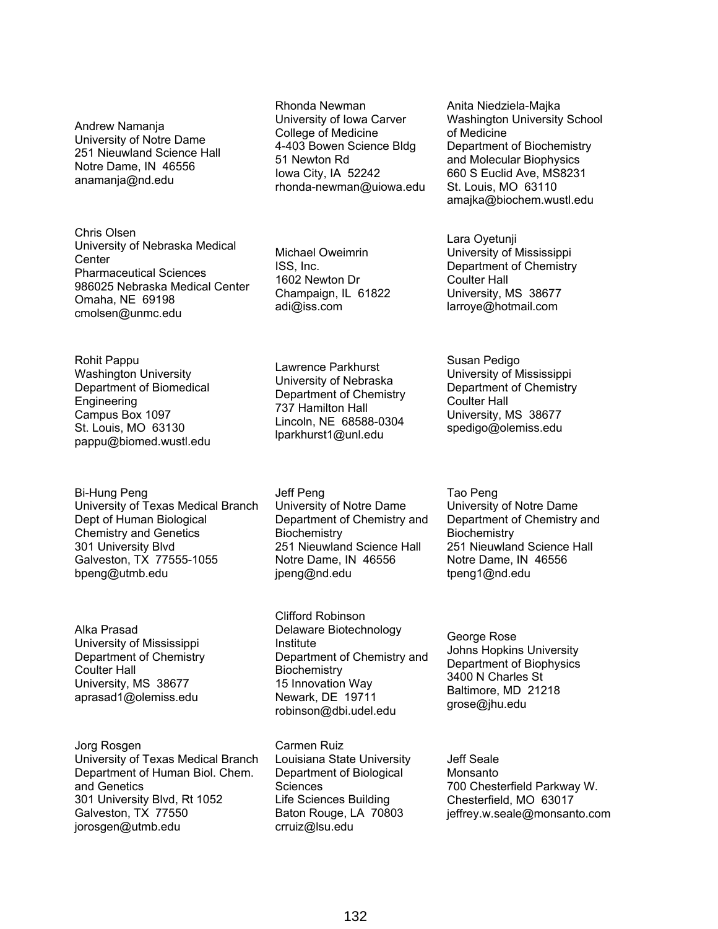Andrew Namanja University of Notre Dame 251 Nieuwland Science Hall Notre Dame, IN 46556 anamanja@nd.edu

Chris Olsen University of Nebraska Medical **Center** Pharmaceutical Sciences 986025 Nebraska Medical Center Omaha, NE 69198 cmolsen@unmc.edu

Rohit Pappu Washington University Department of Biomedical Engineering Campus Box 1097 St. Louis, MO 63130 pappu@biomed.wustl.edu

Bi-Hung Peng University of Texas Medical Branch Dept of Human Biological Chemistry and Genetics 301 University Blvd Galveston, TX 77555-1055 bpeng@utmb.edu

Alka Prasad University of Mississippi Department of Chemistry Coulter Hall University, MS 38677 aprasad1@olemiss.edu

Jorg Rosgen University of Texas Medical Branch Department of Human Biol. Chem. and Genetics 301 University Blvd, Rt 1052 Galveston, TX 77550 jorosgen@utmb.edu

Rhonda Newman University of Iowa Carver College of Medicine 4-403 Bowen Science Bldg 51 Newton Rd Iowa City, IA 52242 rhonda-newman@uiowa.edu

Michael Oweimrin ISS, Inc. 1602 Newton Dr Champaign, IL 61822 adi@iss.com

Lawrence Parkhurst University of Nebraska Department of Chemistry 737 Hamilton Hall Lincoln, NE 68588-0304 lparkhurst1@unl.edu

Jeff Peng University of Notre Dame Department of Chemistry and **Biochemistry** 251 Nieuwland Science Hall Notre Dame, IN 46556 jpeng@nd.edu

Clifford Robinson Delaware Biotechnology Institute Department of Chemistry and **Biochemistry** 15 Innovation Way Newark, DE 19711 robinson@dbi.udel.edu

Carmen Ruiz Louisiana State University Department of Biological **Sciences** Life Sciences Building Baton Rouge, LA 70803 crruiz@lsu.edu

Anita Niedziela-Majka Washington University School of Medicine Department of Biochemistry and Molecular Biophysics 660 S Euclid Ave, MS8231 St. Louis, MO 63110 amajka@biochem.wustl.edu

Lara Oyetunji University of Mississippi Department of Chemistry Coulter Hall University, MS 38677 larroye@hotmail.com

Susan Pedigo University of Mississippi Department of Chemistry Coulter Hall University, MS 38677 spedigo@olemiss.edu

Tao Peng University of Notre Dame Department of Chemistry and **Biochemistry** 251 Nieuwland Science Hall Notre Dame, IN 46556 tpeng1@nd.edu

George Rose Johns Hopkins University Department of Biophysics 3400 N Charles St Baltimore, MD 21218 grose@jhu.edu

Jeff Seale Monsanto 700 Chesterfield Parkway W. Chesterfield, MO 63017 jeffrey.w.seale@monsanto.com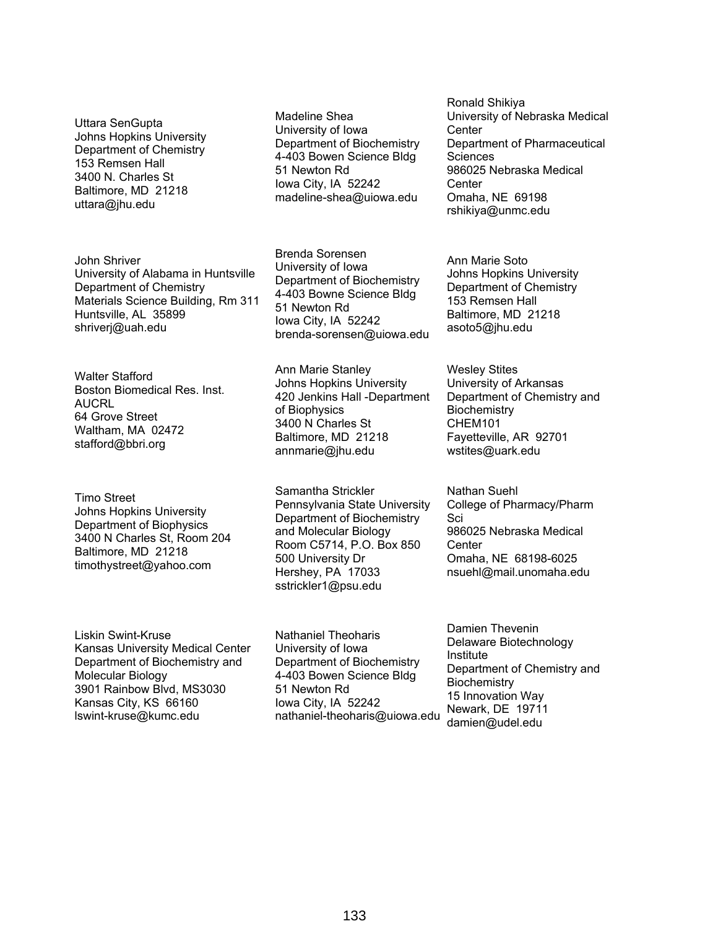Uttara SenGupta Johns Hopkins University Department of Chemistry 153 Remsen Hall 3400 N. Charles St Baltimore, MD 21218 uttara@jhu.edu

John Shriver University of Alabama in Huntsville Department of Chemistry Materials Science Building, Rm 311 Huntsville, AL 35899 shriverj@uah.edu

Walter Stafford Boston Biomedical Res. Inst. **AUCRL** 64 Grove Street Waltham, MA 02472 stafford@bbri.org

Timo Street Johns Hopkins University Department of Biophysics 3400 N Charles St, Room 204 Baltimore, MD 21218 timothystreet@yahoo.com

Samantha Strickler Pennsylvania State University Department of Biochemistry and Molecular Biology Room C5714, P.O. Box 850 500 University Dr Hershey, PA 17033 sstrickler1@psu.edu

Madeline Shea University of Iowa

51 Newton Rd Iowa City, IA 52242 madeline-shea@uiowa.edu

Brenda Sorensen University of Iowa

51 Newton Rd Iowa City, IA 52242

Ann Marie Stanley Johns Hopkins University 420 Jenkins Hall -Department

of Biophysics 3400 N Charles St Baltimore, MD 21218 annmarie@jhu.edu

Department of Biochemistry 4-403 Bowen Science Bldg

Department of Biochemistry 4-403 Bowne Science Bldg

brenda-sorensen@uiowa.edu

Ronald Shikiya University of Nebraska Medical **Center** Department of Pharmaceutical **Sciences** 986025 Nebraska Medical Center Omaha, NE 69198 rshikiya@unmc.edu

Ann Marie Soto Johns Hopkins University Department of Chemistry 153 Remsen Hall Baltimore, MD 21218 asoto5@jhu.edu

Wesley Stites University of Arkansas Department of Chemistry and **Biochemistry** CHEM101 Fayetteville, AR 92701 wstites@uark.edu

Nathan Suehl College of Pharmacy/Pharm Sci 986025 Nebraska Medical **Center** Omaha, NE 68198-6025 nsuehl@mail.unomaha.edu

Liskin Swint-Kruse Kansas University Medical Center Department of Biochemistry and Molecular Biology 3901 Rainbow Blvd, MS3030 Kansas City, KS 66160 lswint-kruse@kumc.edu

Nathaniel Theoharis University of Iowa Department of Biochemistry 4-403 Bowen Science Bldg 51 Newton Rd Iowa City, IA 52242 nathaniel-theoharis@uiowa.edu Damien Thevenin Delaware Biotechnology Institute Department of Chemistry and **Biochemistry** 15 Innovation Way Newark, DE 19711 damien@udel.edu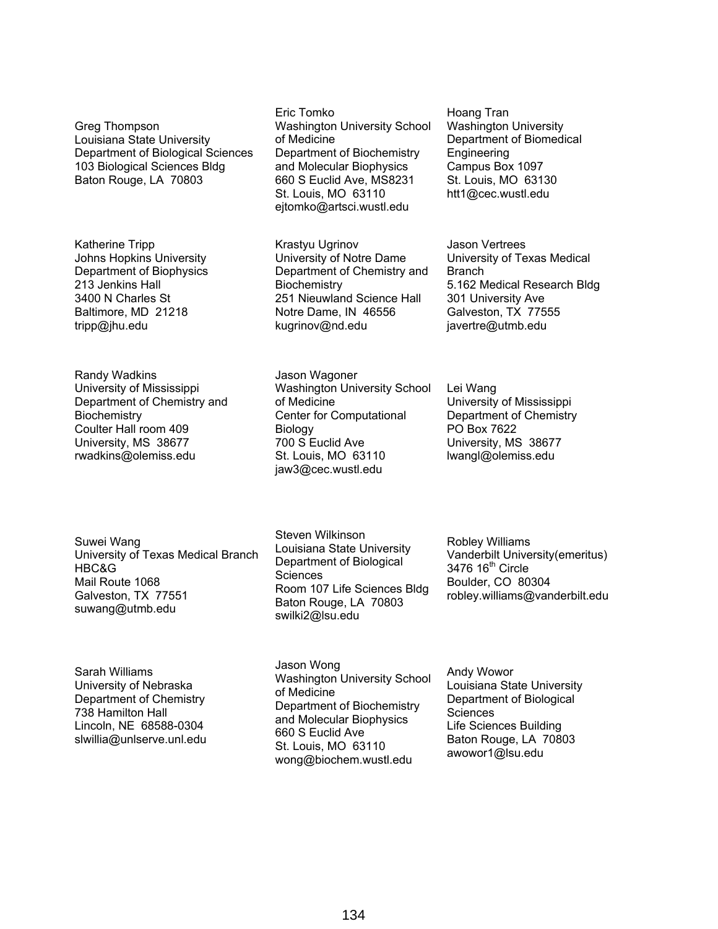Greg Thompson Louisiana State University Department of Biological Sciences 103 Biological Sciences Bldg Baton Rouge, LA 70803

Katherine Tripp Johns Hopkins University Department of Biophysics 213 Jenkins Hall 3400 N Charles St Baltimore, MD 21218 tripp@jhu.edu

Randy Wadkins University of Mississippi Department of Chemistry and **Biochemistry** Coulter Hall room 409 University, MS 38677 rwadkins@olemiss.edu

Eric Tomko Washington University School of Medicine Department of Biochemistry and Molecular Biophysics 660 S Euclid Ave, MS8231 St. Louis, MO 63110 ejtomko@artsci.wustl.edu

Krastyu Ugrinov University of Notre Dame Department of Chemistry and **Biochemistry** 251 Nieuwland Science Hall Notre Dame, IN 46556 kugrinov@nd.edu

Jason Wagoner Washington University School of Medicine Center for Computational Biology 700 S Euclid Ave St. Louis, MO 63110 jaw3@cec.wustl.edu

Hoang Tran Washington University Department of Biomedical Engineering Campus Box 1097 St. Louis, MO 63130 htt1@cec.wustl.edu

Jason Vertrees University of Texas Medical Branch 5.162 Medical Research Bldg 301 University Ave Galveston, TX 77555 javertre@utmb.edu

Lei Wang University of Mississippi Department of Chemistry PO Box 7622 University, MS 38677 lwangl@olemiss.edu

Suwei Wang University of Texas Medical Branch HBC&G Mail Route 1068 Galveston, TX 77551 suwang@utmb.edu

Steven Wilkinson Louisiana State University Department of Biological Sciences Room 107 Life Sciences Bldg Baton Rouge, LA 70803 swilki2@lsu.edu

Robley Williams Vanderbilt University(emeritus) 3476 16<sup>th</sup> Circle Boulder, CO 80304 robley.williams@vanderbilt.edu

Sarah Williams University of Nebraska Department of Chemistry 738 Hamilton Hall Lincoln, NE 68588-0304 slwillia@unlserve.unl.edu Jason Wong Washington University School of Medicine Department of Biochemistry and Molecular Biophysics 660 S Euclid Ave St. Louis, MO 63110 wong@biochem.wustl.edu

Andy Wowor Louisiana State University Department of Biological **Sciences** Life Sciences Building Baton Rouge, LA 70803 awowor1@lsu.edu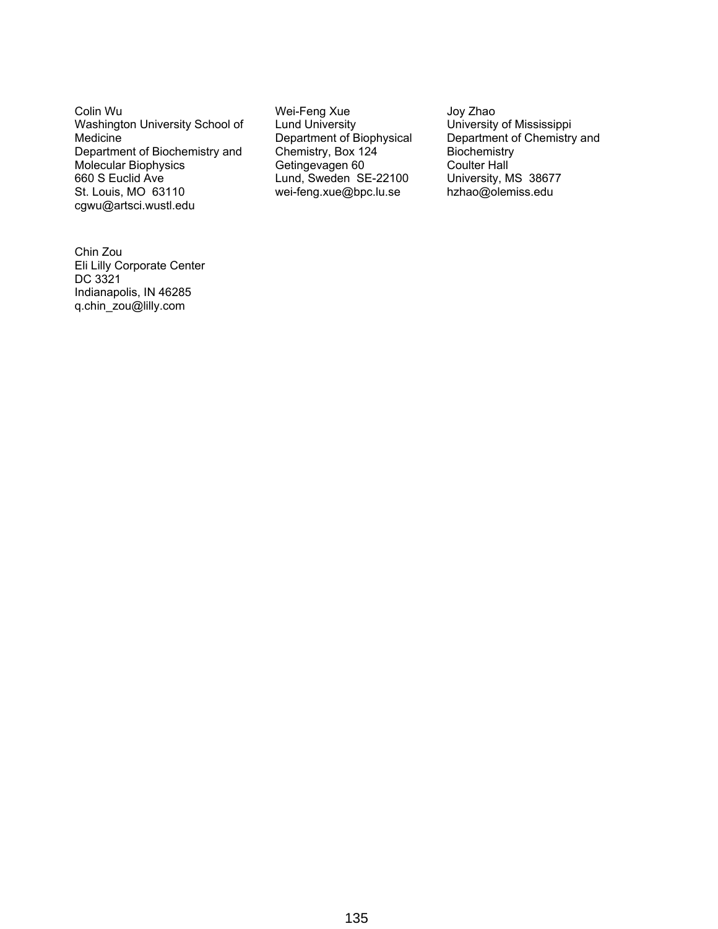Colin Wu Washington University School of Medicine Department of Biochemistry and Molecular Biophysics 660 S Euclid Ave St. Louis, MO 63110 cgwu@artsci.wustl.edu

Wei-Feng Xue Lund University Department of Biophysical Chemistry, Box 124 Getingevagen 60 Lund, Sweden SE-22100 wei-feng.xue@bpc.lu.se

Joy Zhao University of Mississippi Department of Chemistry and **Biochemistry** Coulter Hall University, MS 38677 hzhao@olemiss.edu

Chin Zou Eli Lilly Corporate Center DC 3321 Indianapolis, IN 46285 q.chin\_zou@lilly.com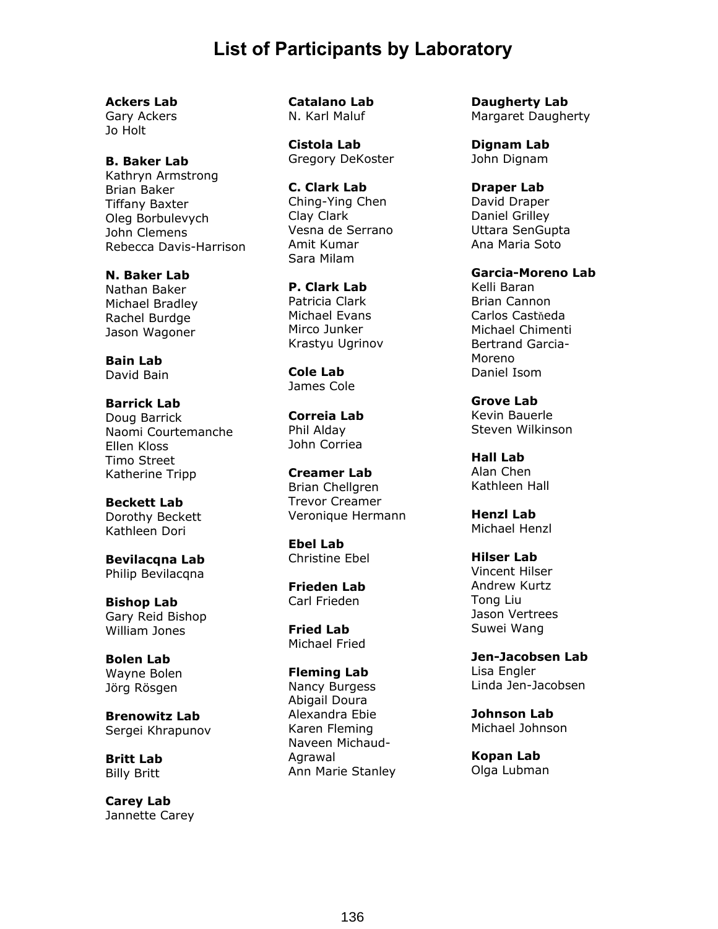## **List of Participants by Laboratory**

**Ackers Lab** 

Gary Ackers Jo Holt

**B. Baker Lab**  Kathryn Armstrong Brian Baker Tiffany Baxter Oleg Borbulevych John Clemens Rebecca Davis-Harrison

**N. Baker Lab**  Nathan Baker Michael Bradley Rachel Burdge Jason Wagoner

**Bain Lab**  David Bain

**Barrick Lab**  Doug Barrick Naomi Courtemanche Ellen Kloss Timo Street Katherine Tripp

**Beckett Lab**  Dorothy Beckett Kathleen Dori

**Bevilacqna Lab**  Philip Bevilacqna

**Bishop Lab**  Gary Reid Bishop William Jones

**Bolen Lab**  Wayne Bolen Jörg Rösgen

**Brenowitz Lab**  Sergei Khrapunov

**Britt Lab**  Billy Britt

**Carey Lab**  Jannette Carey **Catalano Lab**  N. Karl Maluf

**Cistola Lab**  Gregory DeKoster

**C. Clark Lab**  Ching-Ying Chen Clay Clark Vesna de Serrano Amit Kumar Sara Milam

**P. Clark Lab**  Patricia Clark Michael Evans Mirco Junker Krastyu Ugrinov

**Cole Lab**  James Cole

**Correia Lab**  Phil Alday John Corriea

**Creamer Lab**  Brian Chellgren Trevor Creamer Veronique Hermann

**Ebel Lab**  Christine Ebel

**Frieden Lab**  Carl Frieden

**Fried Lab**  Michael Fried

**Fleming Lab**  Nancy Burgess Abigail Doura Alexandra Ebie Karen Fleming Naveen Michaud-Agrawal Ann Marie Stanley **Daugherty Lab**  Margaret Daugherty

**Dignam Lab**  John Dignam

**Draper Lab**  David Draper Daniel Grilley Uttara SenGupta Ana Maria Soto

**Garcia-Moreno Lab**  Kelli Baran Brian Cannon Carlos Castňeda Michael Chimenti Bertrand Garcia-Moreno Daniel Isom

**Grove Lab**  Kevin Bauerle Steven Wilkinson

**Hall Lab** Alan Chen Kathleen Hall

**Henzl Lab**  Michael Henzl

**Hilser Lab**  Vincent Hilser Andrew Kurtz Tong Liu Jason Vertrees Suwei Wang

**Jen-Jacobsen Lab**  Lisa Engler Linda Jen-Jacobsen

**Johnson Lab**  Michael Johnson

**Kopan Lab**  Olga Lubman